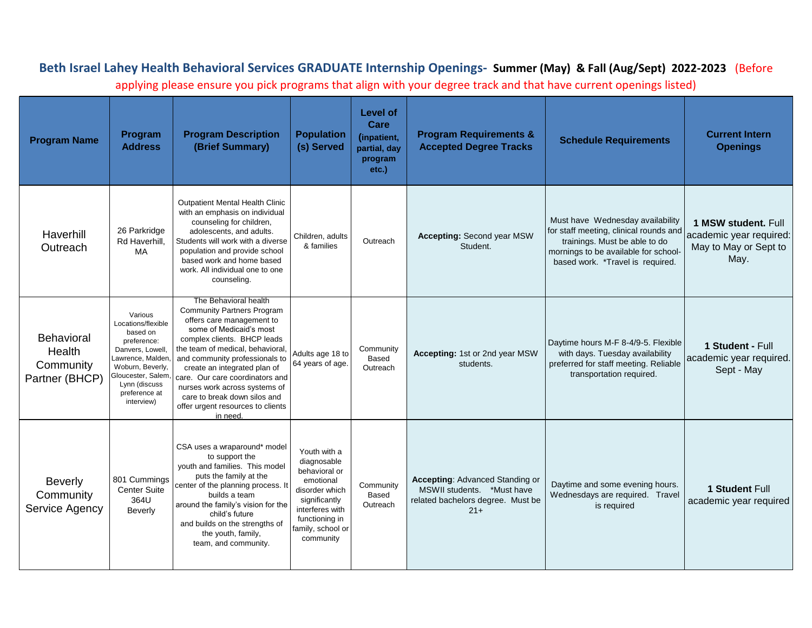## **Beth Israel Lahey Health Behavioral Services GRADUATE Internship Openings- Summer (May) & Fall (Aug/Sept) 2022-2023** (Before

applying please ensure you pick programs that align with your degree track and that have current openings listed)

| <b>Program Name</b>                                        | Program<br><b>Address</b>                                                                                                                                                                 | <b>Program Description</b><br>(Brief Summary)                                                                                                                                                                                                                                                                                                                                                               | <b>Population</b><br>(s) Served                                                                                                                                    | Level of<br>Care<br>(inpatient,<br>partial, day<br>program<br>$etc.$ ) | <b>Program Requirements &amp;</b><br><b>Accepted Degree Tracks</b>                                                 | <b>Schedule Requirements</b>                                                                                                                                                            | <b>Current Intern</b><br><b>Openings</b>                                        |
|------------------------------------------------------------|-------------------------------------------------------------------------------------------------------------------------------------------------------------------------------------------|-------------------------------------------------------------------------------------------------------------------------------------------------------------------------------------------------------------------------------------------------------------------------------------------------------------------------------------------------------------------------------------------------------------|--------------------------------------------------------------------------------------------------------------------------------------------------------------------|------------------------------------------------------------------------|--------------------------------------------------------------------------------------------------------------------|-----------------------------------------------------------------------------------------------------------------------------------------------------------------------------------------|---------------------------------------------------------------------------------|
| Haverhill<br>Outreach                                      | 26 Parkridge<br>Rd Haverhill,<br>MA                                                                                                                                                       | <b>Outpatient Mental Health Clinic</b><br>with an emphasis on individual<br>counseling for children,<br>adolescents, and adults.<br>Students will work with a diverse<br>population and provide school<br>based work and home based<br>work. All individual one to one<br>counseling.                                                                                                                       | Children, adults<br>& families                                                                                                                                     | Outreach                                                               | <b>Accepting: Second year MSW</b><br>Student.                                                                      | Must have Wednesday availability<br>for staff meeting, clinical rounds and<br>trainings. Must be able to do<br>mornings to be available for school-<br>based work. *Travel is required. | 1 MSW student. Full<br>academic year required:<br>May to May or Sept to<br>May. |
| <b>Behavioral</b><br>Health<br>Community<br>Partner (BHCP) | Various<br>Locations/flexible<br>based on<br>preference:<br>Danvers, Lowell,<br>Lawrence, Malden<br>Woburn, Beverly,<br>Gloucester, Salem<br>Lynn (discuss<br>preference at<br>interview) | The Behavioral health<br><b>Community Partners Program</b><br>offers care management to<br>some of Medicaid's most<br>complex clients. BHCP leads<br>the team of medical, behavioral<br>and community professionals to<br>create an integrated plan of<br>care. Our care coordinators and<br>nurses work across systems of<br>care to break down silos and<br>offer urgent resources to clients<br>in need. | Adults age 18 to<br>64 years of age.                                                                                                                               | Community<br>Based<br>Outreach                                         | Accepting: 1st or 2nd year MSW<br>students.                                                                        | Daytime hours M-F 8-4/9-5. Flexible<br>with days. Tuesday availability<br>preferred for staff meeting. Reliable<br>transportation required.                                             | 1 Student - Full<br>academic year required.<br>Sept - May                       |
| <b>Beverly</b><br>Community<br>Service Agency              | 801 Cummings<br><b>Center Suite</b><br>364U<br>Beverly                                                                                                                                    | CSA uses a wraparound* model<br>to support the<br>youth and families. This model<br>puts the family at the<br>center of the planning process. It<br>builds a team<br>around the family's vision for the<br>child's future<br>and builds on the strengths of<br>the youth, family,<br>team, and community.                                                                                                   | Youth with a<br>diagnosable<br>behavioral or<br>emotional<br>disorder which<br>significantly<br>interferes with<br>functioning in<br>amily, school or<br>community | Community<br>Based<br>Outreach                                         | <b>Accepting: Advanced Standing or</b><br>MSWII students. *Must have<br>related bachelors degree. Must be<br>$21+$ | Daytime and some evening hours.<br>Wednesdays are required. Travel<br>is required                                                                                                       | 1 Student Full<br>academic year required                                        |